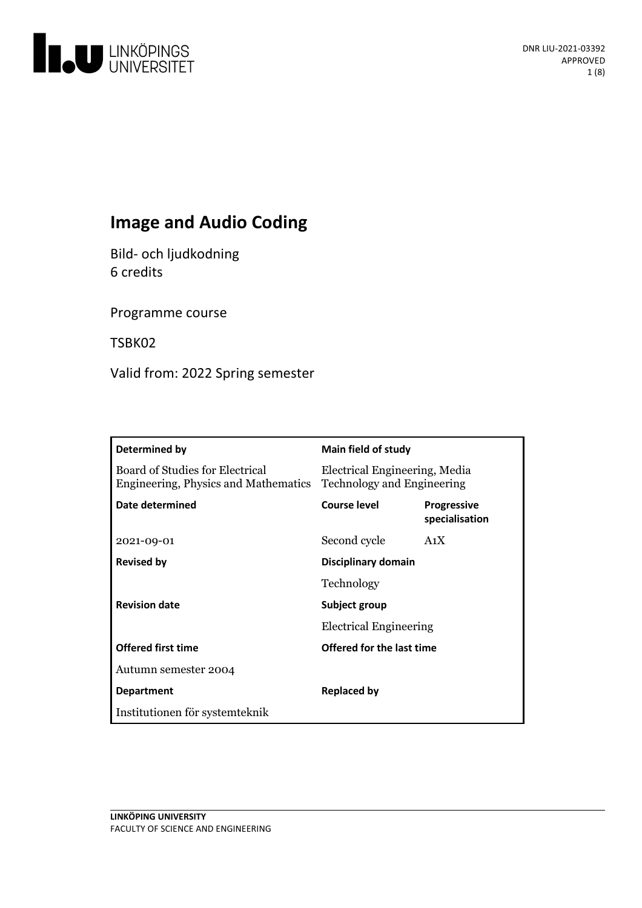

# **Image and Audio Coding**

Bild- och ljudkodning 6 credits

Programme course

TSBK02

Valid from: 2022 Spring semester

| Determined by                                                           | Main field of study                                         |                                      |
|-------------------------------------------------------------------------|-------------------------------------------------------------|--------------------------------------|
| Board of Studies for Electrical<br>Engineering, Physics and Mathematics | Electrical Engineering, Media<br>Technology and Engineering |                                      |
| Date determined                                                         | Course level                                                | <b>Progressive</b><br>specialisation |
| 2021-09-01                                                              | Second cycle                                                | A <sub>1</sub> X                     |
| <b>Revised by</b>                                                       | Disciplinary domain                                         |                                      |
|                                                                         | Technology                                                  |                                      |
| <b>Revision date</b>                                                    | Subject group                                               |                                      |
|                                                                         | <b>Electrical Engineering</b>                               |                                      |
| <b>Offered first time</b>                                               | Offered for the last time                                   |                                      |
| Autumn semester 2004                                                    |                                                             |                                      |
| <b>Department</b>                                                       | Replaced by                                                 |                                      |
| Institutionen för systemteknik                                          |                                                             |                                      |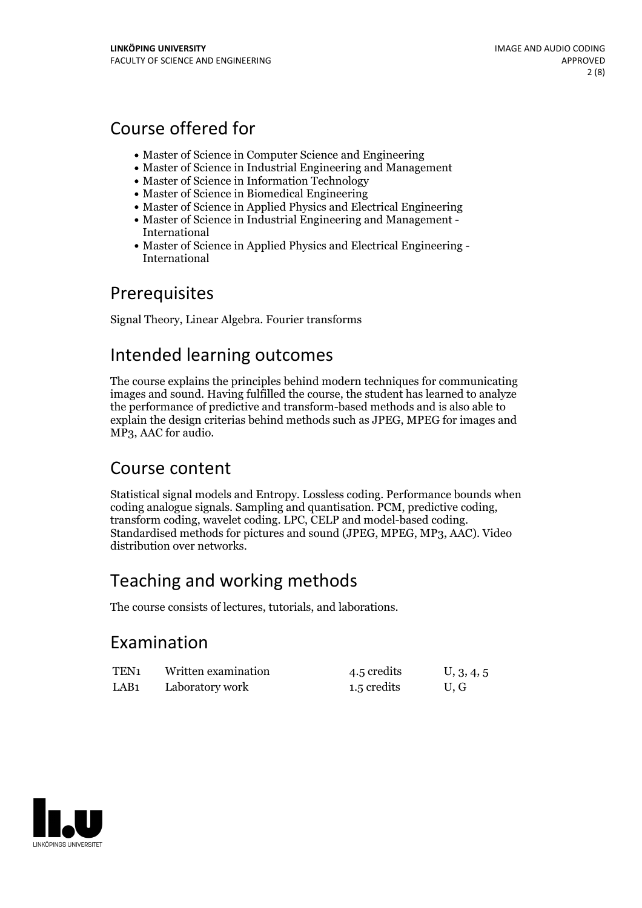# Course offered for

- Master of Science in Computer Science and Engineering
- Master of Science in Industrial Engineering and Management
- Master of Science in Information Technology
- Master of Science in Biomedical Engineering
- Master of Science in Applied Physics and Electrical Engineering
- Master of Science in Industrial Engineering and Management International
- Master of Science in Applied Physics and Electrical Engineering International

## Prerequisites

Signal Theory, Linear Algebra. Fourier transforms

## Intended learning outcomes

The course explains the principles behind modern techniques for communicating images and sound. Having fulfilled the course, the student has learned to analyze the performance of predictive and transform-based methods and is also able to explain the design criterias behind methods such as JPEG, MPEG for images and MP3, AAC for audio.

## Course content

Statistical signal models and Entropy. Lossless coding. Performance bounds when coding analogue signals. Sampling and quantisation. PCM, predictive coding, transform coding, wavelet coding. LPC, CELP and model-based coding. Standardised methods for pictures and sound (JPEG, MPEG, MP3, AAC). Video distribution over networks.

# Teaching and working methods

The course consists of lectures, tutorials, and laborations.

## Examination

| TEN <sub>1</sub> | Written examination | 4.5 credits | U, 3, 4, 5 |
|------------------|---------------------|-------------|------------|
| LAB <sub>1</sub> | Laboratory work     | 1.5 credits | U, G       |

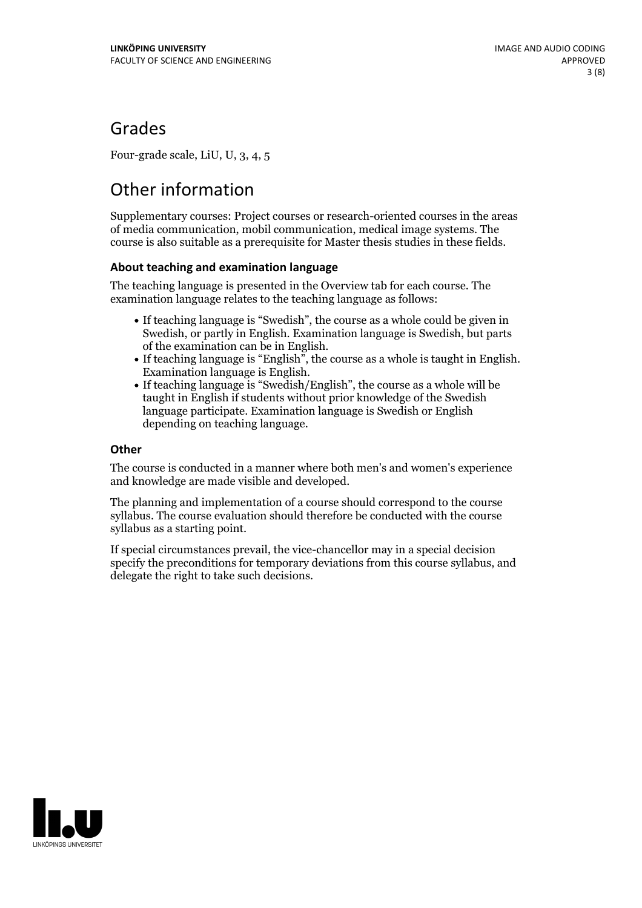## Grades

Four-grade scale, LiU, U, 3, 4, 5

# Other information

Supplementary courses: Project courses or research-oriented courses in the areas of media communication, mobil communication, medical image systems. The course is also suitable as a prerequisite for Master thesis studies in these fields.

### **About teaching and examination language**

The teaching language is presented in the Overview tab for each course. The examination language relates to the teaching language as follows:

- If teaching language is "Swedish", the course as a whole could be given in Swedish, or partly in English. Examination language is Swedish, but parts
- of the examination can be in English. If teaching language is "English", the course as <sup>a</sup> whole is taught in English. Examination language is English. If teaching language is "Swedish/English", the course as <sup>a</sup> whole will be
- taught in English if students without prior knowledge of the Swedish language participate. Examination language is Swedish or English depending on teaching language.

### **Other**

The course is conducted in a manner where both men's and women's experience and knowledge are made visible and developed.

The planning and implementation of a course should correspond to the course syllabus. The course evaluation should therefore be conducted with the course syllabus as a starting point.

If special circumstances prevail, the vice-chancellor may in a special decision specify the preconditions for temporary deviations from this course syllabus, and delegate the right to take such decisions.

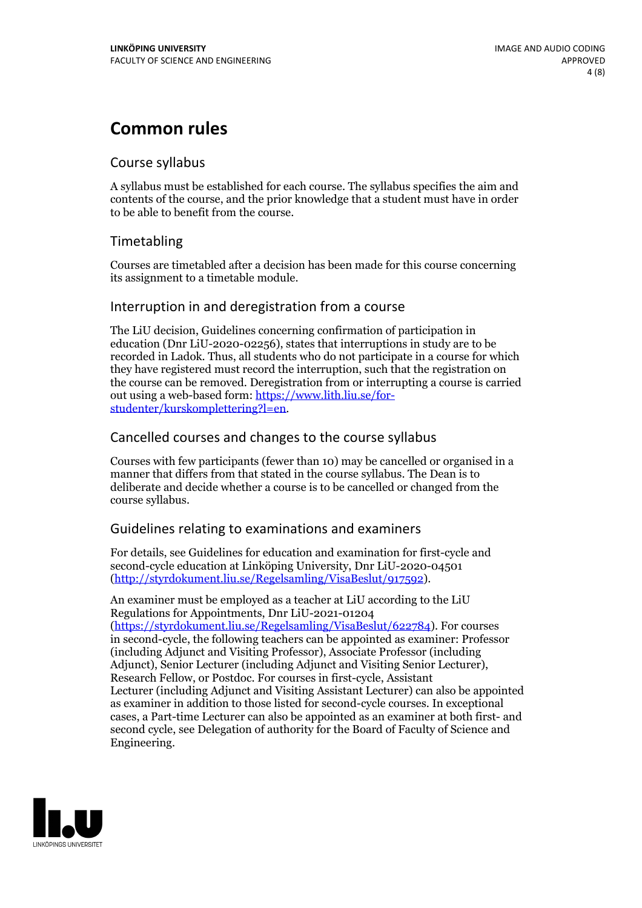## **Common rules**

### Course syllabus

A syllabus must be established for each course. The syllabus specifies the aim and contents of the course, and the prior knowledge that a student must have in order to be able to benefit from the course.

## Timetabling

Courses are timetabled after a decision has been made for this course concerning its assignment to a timetable module.

### Interruption in and deregistration from a course

The LiU decision, Guidelines concerning confirmation of participation in education (Dnr LiU-2020-02256), states that interruptions in study are to be recorded in Ladok. Thus, all students who do not participate in a course for which they have registered must record the interruption, such that the registration on the course can be removed. Deregistration from or interrupting a course is carried out using <sup>a</sup> web-based form: https://www.lith.liu.se/for- [studenter/kurskomplettering?l=en.](https://www.lith.liu.se/for-studenter/kurskomplettering?l=en)

## Cancelled courses and changes to the course syllabus

Courses with few participants (fewer than 10) may be cancelled or organised in a manner that differs from that stated in the course syllabus. The Dean is to deliberate and decide whether a course is to be cancelled or changed from the course syllabus.

## Guidelines relating to examinations and examiners

For details, see Guidelines for education and examination for first-cycle and second-cycle education at Linköping University, Dnr LiU-2020-04501 [\(http://styrdokument.liu.se/Regelsamling/VisaBeslut/917592\)](http://styrdokument.liu.se/Regelsamling/VisaBeslut/917592).

An examiner must be employed as a teacher at LiU according to the LiU Regulations for Appointments, Dnr LiU-2021-01204 [\(https://styrdokument.liu.se/Regelsamling/VisaBeslut/622784](https://styrdokument.liu.se/Regelsamling/VisaBeslut/622784)). For courses in second-cycle, the following teachers can be appointed as examiner: Professor (including Adjunct and Visiting Professor), Associate Professor (including Adjunct), Senior Lecturer (including Adjunct and Visiting Senior Lecturer), Research Fellow, or Postdoc. For courses in first-cycle, Assistant Lecturer (including Adjunct and Visiting Assistant Lecturer) can also be appointed as examiner in addition to those listed for second-cycle courses. In exceptional cases, a Part-time Lecturer can also be appointed as an examiner at both first- and second cycle, see Delegation of authority for the Board of Faculty of Science and Engineering.

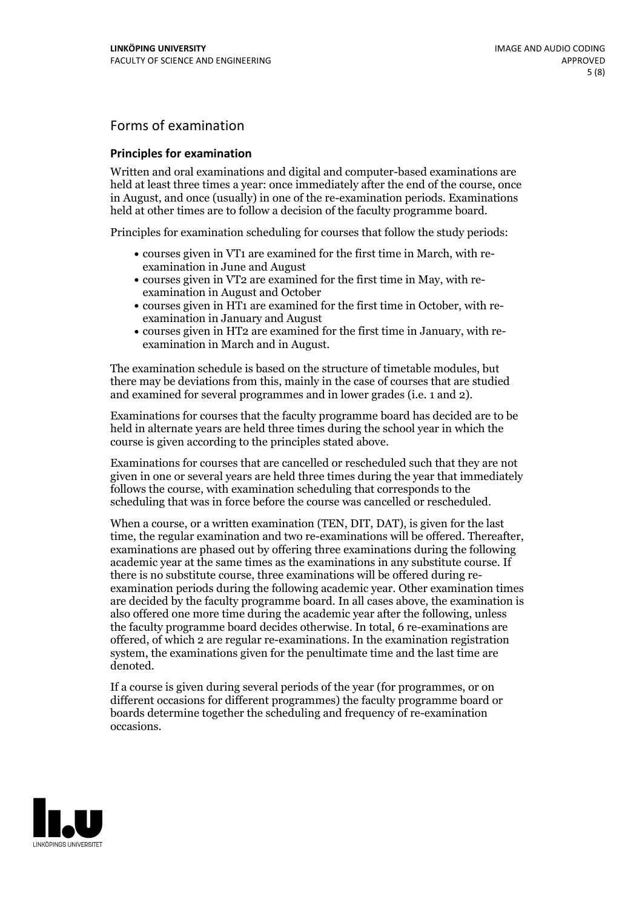## Forms of examination

#### **Principles for examination**

Written and oral examinations and digital and computer-based examinations are held at least three times a year: once immediately after the end of the course, once in August, and once (usually) in one of the re-examination periods. Examinations held at other times are to follow a decision of the faculty programme board.

Principles for examination scheduling for courses that follow the study periods:

- courses given in VT1 are examined for the first time in March, with re-examination in June and August
- courses given in VT2 are examined for the first time in May, with re-examination in August and October
- courses given in HT1 are examined for the first time in October, with re-examination in January and August
- courses given in HT2 are examined for the first time in January, with re-examination in March and in August.

The examination schedule is based on the structure of timetable modules, but there may be deviations from this, mainly in the case of courses that are studied and examined for several programmes and in lower grades (i.e. 1 and 2).

Examinations for courses that the faculty programme board has decided are to be held in alternate years are held three times during the school year in which the course is given according to the principles stated above.

Examinations for courses that are cancelled orrescheduled such that they are not given in one or several years are held three times during the year that immediately follows the course, with examination scheduling that corresponds to the scheduling that was in force before the course was cancelled or rescheduled.

When a course, or a written examination (TEN, DIT, DAT), is given for the last time, the regular examination and two re-examinations will be offered. Thereafter, examinations are phased out by offering three examinations during the following academic year at the same times as the examinations in any substitute course. If there is no substitute course, three examinations will be offered during re- examination periods during the following academic year. Other examination times are decided by the faculty programme board. In all cases above, the examination is also offered one more time during the academic year after the following, unless the faculty programme board decides otherwise. In total, 6 re-examinations are offered, of which 2 are regular re-examinations. In the examination registration system, the examinations given for the penultimate time and the last time are denoted.

If a course is given during several periods of the year (for programmes, or on different occasions for different programmes) the faculty programme board or boards determine together the scheduling and frequency of re-examination occasions.

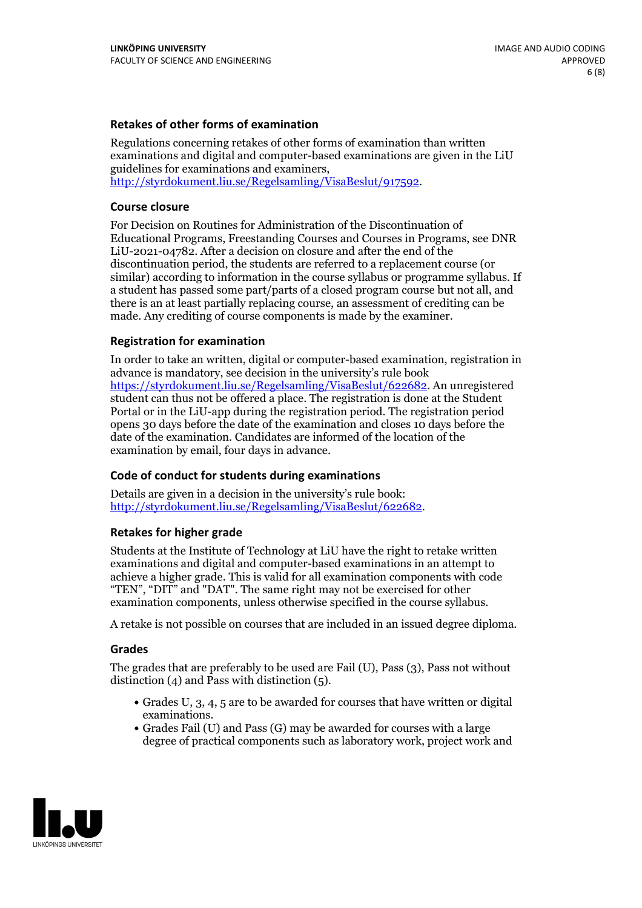#### **Retakes of other forms of examination**

Regulations concerning retakes of other forms of examination than written examinations and digital and computer-based examinations are given in the LiU guidelines for examinations and examiners, [http://styrdokument.liu.se/Regelsamling/VisaBeslut/917592.](http://styrdokument.liu.se/Regelsamling/VisaBeslut/917592)

#### **Course closure**

For Decision on Routines for Administration of the Discontinuation of Educational Programs, Freestanding Courses and Courses in Programs, see DNR LiU-2021-04782. After a decision on closure and after the end of the discontinuation period, the students are referred to a replacement course (or similar) according to information in the course syllabus or programme syllabus. If a student has passed some part/parts of a closed program course but not all, and there is an at least partially replacing course, an assessment of crediting can be made. Any crediting of course components is made by the examiner.

#### **Registration for examination**

In order to take an written, digital or computer-based examination, registration in advance is mandatory, see decision in the university's rule book [https://styrdokument.liu.se/Regelsamling/VisaBeslut/622682.](https://styrdokument.liu.se/Regelsamling/VisaBeslut/622682) An unregistered student can thus not be offered a place. The registration is done at the Student Portal or in the LiU-app during the registration period. The registration period opens 30 days before the date of the examination and closes 10 days before the date of the examination. Candidates are informed of the location of the examination by email, four days in advance.

#### **Code of conduct for students during examinations**

Details are given in a decision in the university's rule book: <http://styrdokument.liu.se/Regelsamling/VisaBeslut/622682>.

#### **Retakes for higher grade**

Students at the Institute of Technology at LiU have the right to retake written examinations and digital and computer-based examinations in an attempt to achieve a higher grade. This is valid for all examination components with code "TEN", "DIT" and "DAT". The same right may not be exercised for other examination components, unless otherwise specified in the course syllabus.

A retake is not possible on courses that are included in an issued degree diploma.

#### **Grades**

The grades that are preferably to be used are Fail (U), Pass (3), Pass not without distinction  $(4)$  and Pass with distinction  $(5)$ .

- Grades U, 3, 4, 5 are to be awarded for courses that have written or digital examinations.<br>• Grades Fail (U) and Pass (G) may be awarded for courses with a large
- degree of practical components such as laboratory work, project work and

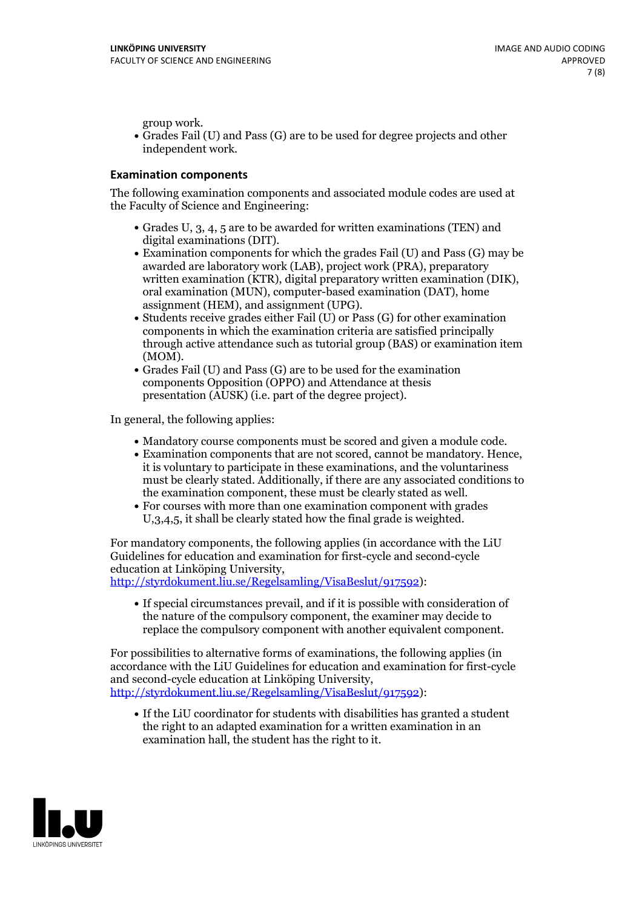group work.<br>• Grades Fail (U) and Pass (G) are to be used for degree projects and other independent work.

#### **Examination components**

The following examination components and associated module codes are used at the Faculty of Science and Engineering:

- Grades U, 3, 4, 5 are to be awarded for written examinations (TEN) and
- digital examinations (DIT).<br>• Examination components for which the grades Fail (U) and Pass (G) may be awarded are laboratory work (LAB), project work (PRA), preparatory written examination (KTR), digital preparatory written examination (DIK), oral examination (MUN), computer-based examination (DAT), home
- assignment (HEM), and assignment (UPG).<br>• Students receive grades either Fail (U) or Pass (G) for other examination components in which the examination criteria are satisfied principally through active attendance such as tutorial group (BAS) or examination item
- (MOM).<br>• Grades Fail (U) and Pass (G) are to be used for the examination components Opposition (OPPO) and Attendance at thesis presentation (AUSK) (i.e. part of the degree project).

In general, the following applies:

- 
- Mandatory course components must be scored and given <sup>a</sup> module code. Examination components that are not scored, cannot be mandatory. Hence, it is voluntary to participate in these examinations, and the voluntariness must be clearly stated. Additionally, if there are any associated conditions to
- the examination component, these must be clearly stated as well.<br>• For courses with more than one examination component with grades U,3,4,5, it shall be clearly stated how the final grade is weighted.

For mandatory components, the following applies (in accordance with the LiU Guidelines for education and examination for first-cycle and second-cycle education at Linköping University,<br>[http://styrdokument.liu.se/Regelsamling/VisaBeslut/917592\)](http://styrdokument.liu.se/Regelsamling/VisaBeslut/917592):

If special circumstances prevail, and if it is possible with consideration of the nature of the compulsory component, the examiner may decide to replace the compulsory component with another equivalent component.

For possibilities to alternative forms of examinations, the following applies (in accordance with the LiU Guidelines for education and examination for first-cycle [http://styrdokument.liu.se/Regelsamling/VisaBeslut/917592\)](http://styrdokument.liu.se/Regelsamling/VisaBeslut/917592):

If the LiU coordinator for students with disabilities has granted a student the right to an adapted examination for a written examination in an examination hall, the student has the right to it.